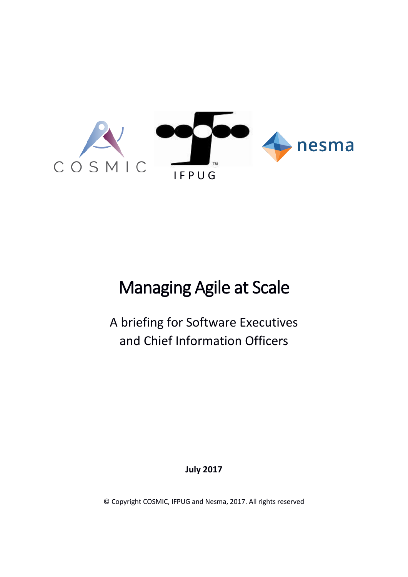

# Managing Agile at Scale

A briefing for Software Executives and Chief Information Officers

**July 2017**

© Copyright COSMIC, IFPUG and Nesma, 2017. All rights reserved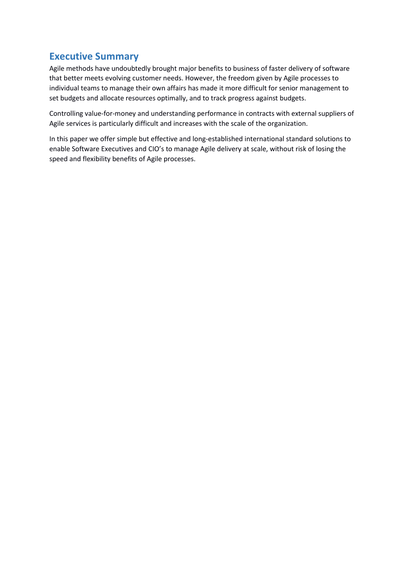# **Executive Summary**

Agile methods have undoubtedly brought major benefits to business of faster delivery of software that better meets evolving customer needs. However, the freedom given by Agile processes to individual teams to manage their own affairs has made it more difficult for senior management to set budgets and allocate resources optimally, and to track progress against budgets.

Controlling value-for-money and understanding performance in contracts with external suppliers of Agile services is particularly difficult and increases with the scale of the organization.

In this paper we offer simple but effective and long-established international standard solutions to enable Software Executives and CIO's to manage Agile delivery at scale, without risk of losing the speed and flexibility benefits of Agile processes.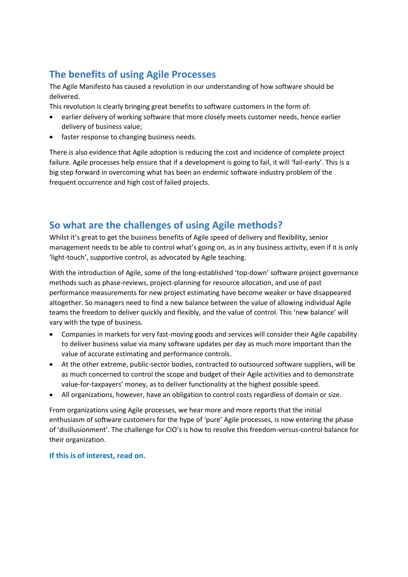# **The benefits of using Agile Processes**

The Agile Manifesto has caused a revolution in our understanding of how software should be delivered.

This revolution is clearly bringing great benefits to software customers in the form of:

- earlier delivery of working software that more closely meets customer needs, hence earlier delivery of business value;
- faster response to changing business needs.

There is also evidence that Agile adoption is reducing the cost and incidence of complete project failure. Agile processes help ensure that if a development is going to fail, it will 'fail-early'. This is a big step forward in overcoming what has been an endemic software industry problem of the frequent occurrence and high cost of failed projects.

# **So what are the challenges of using Agile methods?**

Whilst it's great to get the business benefits of Agile speed of delivery and flexibility, senior management needs to be able to control what's going on, as in any business activity, even if it is only 'light-touch', supportive control, as advocated by Agile teaching.

With the introduction of Agile, some of the long-established 'top-down' software project governance methods such as phase-reviews, project-planning for resource allocation, and use of past performance measurements for new project estimating have become weaker or have disappeared altogether. So managers need to find a new balance between the value of allowing individual Agile teams the freedom to deliver quickly and flexibly, and the value of control. This 'new balance' will vary with the type of business.

- Companies in markets for very fast-moving goods and services will consider their Agile capability to deliver business value via many software updates per day as much more important than the value of accurate estimating and performance controls.
- At the other extreme, public-sector bodies, contracted to outsourced software suppliers, will be as much concerned to control the scope and budget of their Agile activities and to demonstrate value-for-taxpayers' money, as to deliver functionality at the highest possible speed.
- All organizations, however, have an obligation to control costs regardless of domain or size.

From organizations using Agile processes, we hear more and more reports that the initial enthusiasm of software customers for the hype of 'pure' Agile processes, is now entering the phase of 'disillusionment'. The challenge for CIO's is how to resolve this freedom-versus-control balance for their organization.

#### **If this is of interest, read on.**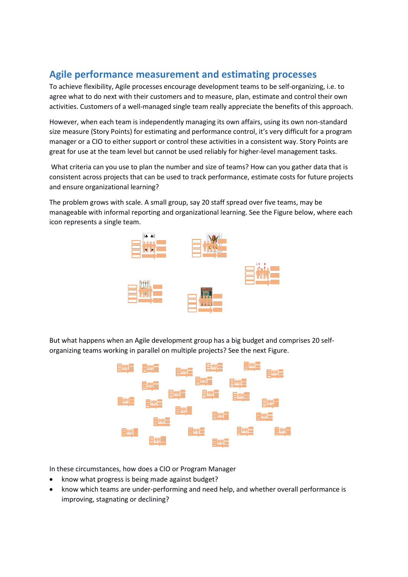#### **Agile performance measurement and estimating processes**

To achieve flexibility, Agile processes encourage development teams to be self-organizing, i.e. to agree what to do next with their customers and to measure, plan, estimate and control their own activities. Customers of a well-managed single team really appreciate the benefits of this approach.

However, when each team is independently managing its own affairs, using its own non-standard size measure (Story Points) for estimating and performance control, it's very difficult for a program manager or a CIO to either support or control these activities in a consistent way. Story Points are great for use at the team level but cannot be used reliably for higher-level management tasks.

What criteria can you use to plan the number and size of teams? How can you gather data that is consistent across projects that can be used to track performance, estimate costs for future projects and ensure organizational learning?

The problem grows with scale. A small group, say 20 staff spread over five teams, may be manageable with informal reporting and organizational learning. See the Figure below, where each icon represents a single team.



But what happens when an Agile development group has a big budget and comprises 20 selforganizing teams working in parallel on multiple projects? See the next Figure.



In these circumstances, how does a CIO or Program Manager

- know what progress is being made against budget?
- know which teams are under-performing and need help, and whether overall performance is improving, stagnating or declining?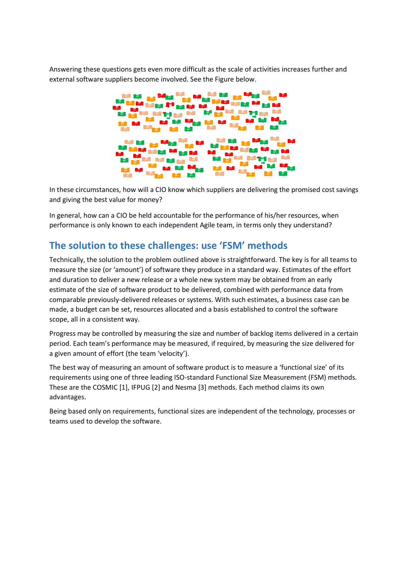Answering these questions gets even more difficult as the scale of activities increases further and external software suppliers become involved. See the Figure below.



In these circumstances, how will a CIO know which suppliers are delivering the promised cost savings and giving the best value for money?

In general, how can a CIO be held accountable for the performance of his/her resources, when performance is only known to each independent Agile team, in terms only they understand?

#### **The solution to these challenges: use 'FSM' methods**

Technically, the solution to the problem outlined above is straightforward. The key is for all teams to measure the size (or 'amount') of software they produce in a standard way. Estimates of the effort and duration to deliver a new release or a whole new system may be obtained from an early estimate of the size of software product to be delivered, combined with performance data from comparable previously-delivered releases or systems. With such estimates, a business case can be made, a budget can be set, resources allocated and a basis established to control the software scope, all in a consistent way.

Progress may be controlled by measuring the size and number of backlog items delivered in a certain period. Each team's performance may be measured, if required, by measuring the size delivered for a given amount of effort (the team 'velocity').

The best way of measuring an amount of software product is to measure a 'functional size' of its requirements using one of three leading ISO-standard Functional Size Measurement (FSM) methods. These are the COSMIC [1], IFPUG [2] and Nesma [3] methods. Each method claims its own advantages.

Being based only on requirements, functional sizes are independent of the technology, processes or teams used to develop the software.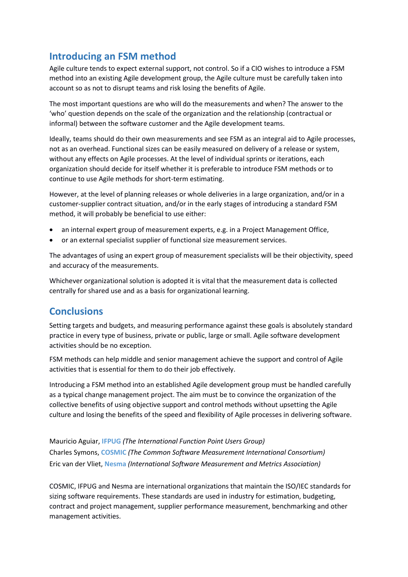# **Introducing an FSM method**

Agile culture tends to expect external support, not control. So if a CIO wishes to introduce a FSM method into an existing Agile development group, the Agile culture must be carefully taken into account so as not to disrupt teams and risk losing the benefits of Agile.

The most important questions are who will do the measurements and when? The answer to the 'who' question depends on the scale of the organization and the relationship (contractual or informal) between the software customer and the Agile development teams.

Ideally, teams should do their own measurements and see FSM as an integral aid to Agile processes, not as an overhead. Functional sizes can be easily measured on delivery of a release or system, without any effects on Agile processes. At the level of individual sprints or iterations, each organization should decide for itself whether it is preferable to introduce FSM methods or to continue to use Agile methods for short-term estimating.

However, at the level of planning releases or whole deliveries in a large organization, and/or in a customer-supplier contract situation, and/or in the early stages of introducing a standard FSM method, it will probably be beneficial to use either:

- an internal expert group of measurement experts, e.g. in a Project Management Office,
- or an external specialist supplier of functional size measurement services.

The advantages of using an expert group of measurement specialists will be their objectivity, speed and accuracy of the measurements.

Whichever organizational solution is adopted it is vital that the measurement data is collected centrally for shared use and as a basis for organizational learning.

#### **Conclusions**

Setting targets and budgets, and measuring performance against these goals is absolutely standard practice in every type of business, private or public, large or small. Agile software development activities should be no exception.

FSM methods can help middle and senior management achieve the support and control of Agile activities that is essential for them to do their job effectively.

Introducing a FSM method into an established Agile development group must be handled carefully as a typical change management project. The aim must be to convince the organization of the collective benefits of using objective support and control methods without upsetting the Agile culture and losing the benefits of the speed and flexibility of Agile processes in delivering software.

Mauricio Aguiar, **IFPUG** *(The International Function Point Users Group)* Charles Symons, **COSMIC** *(The Common Software Measurement International Consortium)* Eric van der Vliet, **Nesma** *(International Software Measurement and Metrics Association)*

COSMIC, IFPUG and Nesma are international organizations that maintain the ISO/IEC standards for sizing software requirements. These standards are used in industry for estimation, budgeting, contract and project management, supplier performance measurement, benchmarking and other management activities.